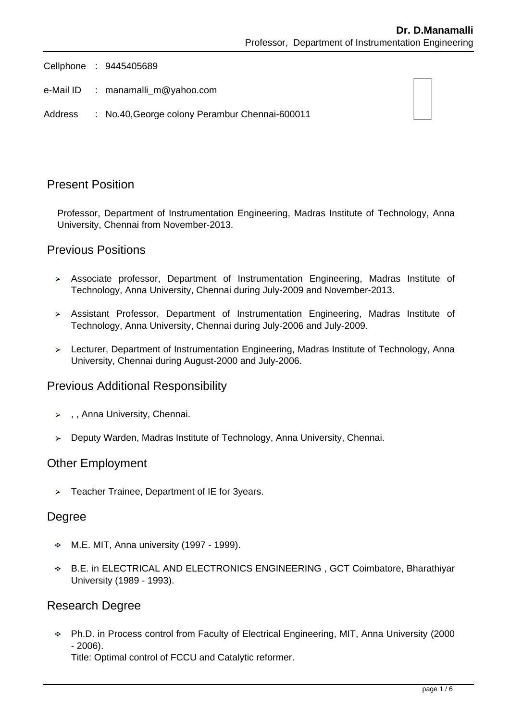Cellphone : 9445405689

- e-Mail ID : manamalli m@yahoo.com
- Address : No.40,George colony Perambur Chennai-600011

### Present Position

Professor, Department of Instrumentation Engineering, Madras Institute of Technology, Anna University, Chennai from November-2013.

### Previous Positions

- Associate professor, Department of Instrumentation Engineering, Madras Institute of Technology, Anna University, Chennai during July-2009 and November-2013.
- Assistant Professor, Department of Instrumentation Engineering, Madras Institute of Technology, Anna University, Chennai during July-2006 and July-2009.
- Lecturer, Department of Instrumentation Engineering, Madras Institute of Technology, Anna University, Chennai during August-2000 and July-2006.

### Previous Additional Responsibility

- $\rightarrow$ , Anna University, Chennai.
- Deputy Warden, Madras Institute of Technology, Anna University, Chennai.

#### Other Employment

> Teacher Trainee, Department of IE for 3years.

### Degree

- $\div$  M.E. MIT, Anna university (1997 1999).
- B.E. in ELECTRICAL AND ELECTRONICS ENGINEERING , GCT Coimbatore, Bharathiyar University (1989 - 1993).

### Research Degree

Ph.D. in Process control from Faculty of Electrical Engineering, MIT, Anna University (2000 - 2006).

Title: Optimal control of FCCU and Catalytic reformer.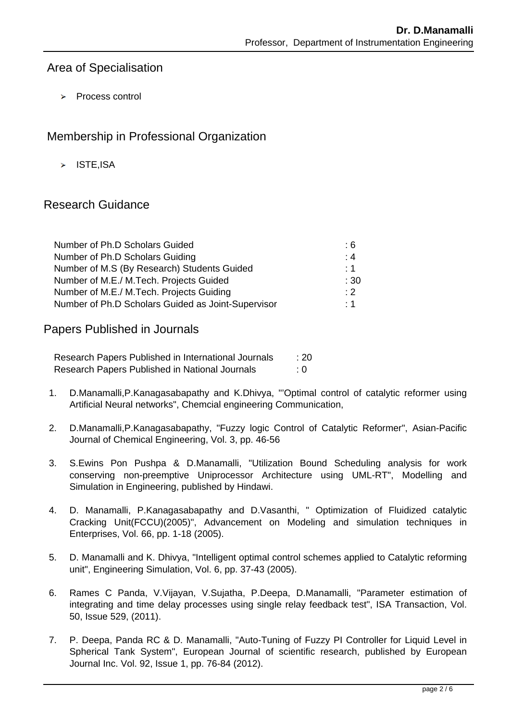## Area of Specialisation

 $\triangleright$  Process control

# Membership in Professional Organization

 $>$  ISTE.ISA

# Research Guidance

| Number of Ph.D Scholars Guided                     | : 6       |
|----------------------------------------------------|-----------|
| Number of Ph.D Scholars Guiding                    | :4        |
| Number of M.S (By Research) Students Guided        | : 1       |
| Number of M.E./ M.Tech. Projects Guided            | :30       |
| Number of M.E./ M.Tech. Projects Guiding           | $\cdot$ 2 |
| Number of Ph.D Scholars Guided as Joint-Supervisor | : 1       |

Papers Published in Journals

Research Papers Published in International Journals : 20 Research Papers Published in National Journals : 0

- 1. D.Manamalli,P.Kanagasabapathy and K.Dhivya, "'Optimal control of catalytic reformer using Artificial Neural networks", Chemcial engineering Communication,
- 2. D.Manamalli,P.Kanagasabapathy, "Fuzzy logic Control of Catalytic Reformer", Asian-Pacific Journal of Chemical Engineering, Vol. 3, pp. 46-56
- 3. S.Ewins Pon Pushpa & D.Manamalli, "Utilization Bound Scheduling analysis for work conserving non-preemptive Uniprocessor Architecture using UML-RT", Modelling and Simulation in Engineering, published by Hindawi.
- 4. D. Manamalli, P.Kanagasabapathy and D.Vasanthi, " Optimization of Fluidized catalytic Cracking Unit(FCCU)(2005)", Advancement on Modeling and simulation techniques in Enterprises, Vol. 66, pp. 1-18 (2005).
- 5. D. Manamalli and K. Dhivya, "Intelligent optimal control schemes applied to Catalytic reforming unit", Engineering Simulation, Vol. 6, pp. 37-43 (2005).
- 6. Rames C Panda, V.Vijayan, V.Sujatha, P.Deepa, D.Manamalli, "Parameter estimation of integrating and time delay processes using single relay feedback test", ISA Transaction, Vol. 50, Issue 529, (2011).
- 7. P. Deepa, Panda RC & D. Manamalli, "Auto-Tuning of Fuzzy PI Controller for Liquid Level in Spherical Tank System", European Journal of scientific research, published by European Journal Inc. Vol. 92, Issue 1, pp. 76-84 (2012).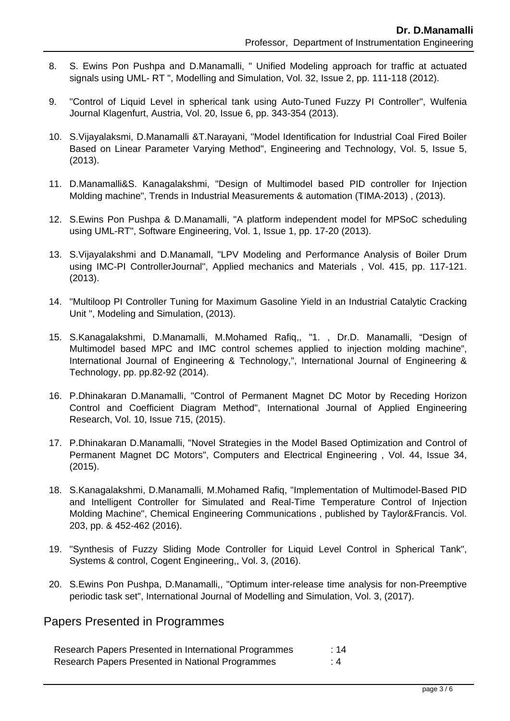- 8. S. Ewins Pon Pushpa and D.Manamalli, " Unified Modeling approach for traffic at actuated signals using UML- RT ", Modelling and Simulation, Vol. 32, Issue 2, pp. 111-118 (2012).
- 9. "Control of Liquid Level in spherical tank using Auto-Tuned Fuzzy PI Controller", Wulfenia Journal Klagenfurt, Austria, Vol. 20, Issue 6, pp. 343-354 (2013).
- 10. S.Vijayalaksmi, D.Manamalli &T.Narayani, "Model Identification for Industrial Coal Fired Boiler Based on Linear Parameter Varying Method", Engineering and Technology, Vol. 5, Issue 5, (2013).
- 11. D.Manamalli&S. Kanagalakshmi, "Design of Multimodel based PID controller for Injection Molding machine", Trends in Industrial Measurements & automation (TIMA-2013) , (2013).
- 12. S.Ewins Pon Pushpa & D.Manamalli, "A platform independent model for MPSoC scheduling using UML-RT", Software Engineering, Vol. 1, Issue 1, pp. 17-20 (2013).
- 13. S.Vijayalakshmi and D.Manamall, "LPV Modeling and Performance Analysis of Boiler Drum using IMC-PI ControllerJournal", Applied mechanics and Materials , Vol. 415, pp. 117-121. (2013).
- 14. "Multiloop PI Controller Tuning for Maximum Gasoline Yield in an Industrial Catalytic Cracking Unit ", Modeling and Simulation, (2013).
- 15. S.Kanagalakshmi, D.Manamalli, M.Mohamed Rafiq,, "1. , Dr.D. Manamalli, "Design of Multimodel based MPC and IMC control schemes applied to injection molding machine", International Journal of Engineering & Technology,", International Journal of Engineering & Technology, pp. pp.82-92 (2014).
- 16. P.Dhinakaran D.Manamalli, "Control of Permanent Magnet DC Motor by Receding Horizon Control and Coefficient Diagram Method", International Journal of Applied Engineering Research, Vol. 10, Issue 715, (2015).
- 17. P.Dhinakaran D.Manamalli, "Novel Strategies in the Model Based Optimization and Control of Permanent Magnet DC Motors", Computers and Electrical Engineering , Vol. 44, Issue 34, (2015).
- 18. S.Kanagalakshmi, D.Manamalli, M.Mohamed Rafiq, "Implementation of Multimodel-Based PID and Intelligent Controller for Simulated and Real-Time Temperature Control of Injection Molding Machine", Chemical Engineering Communications , published by Taylor&Francis. Vol. 203, pp. & 452-462 (2016).
- 19. "Synthesis of Fuzzy Sliding Mode Controller for Liquid Level Control in Spherical Tank", Systems & control, Cogent Engineering,, Vol. 3, (2016).
- 20. S.Ewins Pon Pushpa, D.Manamalli,, "Optimum inter-release time analysis for non-Preemptive periodic task set", International Journal of Modelling and Simulation, Vol. 3, (2017).

Papers Presented in Programmes

| Research Papers Presented in International Programmes | :14 |
|-------------------------------------------------------|-----|
| Research Papers Presented in National Programmes      |     |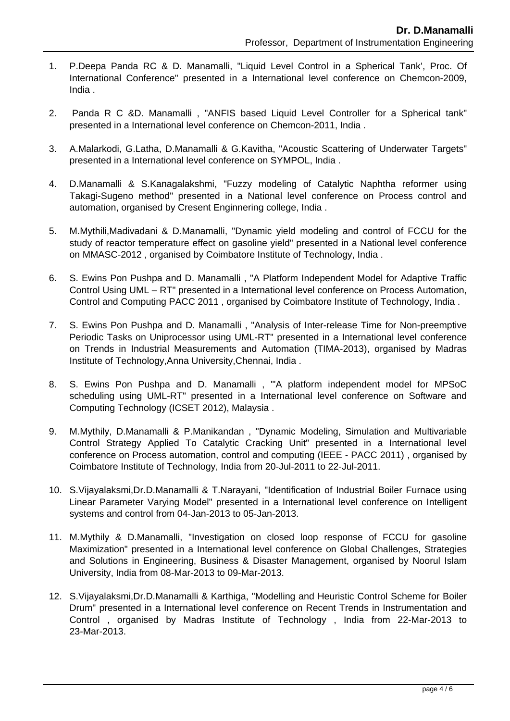- 1. P.Deepa Panda RC & D. Manamalli, "Liquid Level Control in a Spherical Tank', Proc. Of International Conference" presented in a International level conference on Chemcon-2009, India .
- 2. Panda R C &D. Manamalli , "ANFIS based Liquid Level Controller for a Spherical tank" presented in a International level conference on Chemcon-2011, India .
- 3. A.Malarkodi, G.Latha, D.Manamalli & G.Kavitha, "Acoustic Scattering of Underwater Targets" presented in a International level conference on SYMPOL, India .
- 4. D.Manamalli & S.Kanagalakshmi, "Fuzzy modeling of Catalytic Naphtha reformer using Takagi-Sugeno method" presented in a National level conference on Process control and automation, organised by Cresent Enginnering college, India .
- 5. M.Mythili,Madivadani & D.Manamalli, "Dynamic yield modeling and control of FCCU for the study of reactor temperature effect on gasoline yield" presented in a National level conference on MMASC-2012 , organised by Coimbatore Institute of Technology, India .
- 6. S. Ewins Pon Pushpa and D. Manamalli , "A Platform Independent Model for Adaptive Traffic Control Using UML – RT" presented in a International level conference on Process Automation, Control and Computing PACC 2011 , organised by Coimbatore Institute of Technology, India .
- 7. S. Ewins Pon Pushpa and D. Manamalli , "Analysis of Inter-release Time for Non-preemptive Periodic Tasks on Uniprocessor using UML-RT" presented in a International level conference on Trends in Industrial Measurements and Automation (TIMA-2013), organised by Madras Institute of Technology,Anna University,Chennai, India .
- 8. S. Ewins Pon Pushpa and D. Manamalli , "'A platform independent model for MPSoC scheduling using UML-RT" presented in a International level conference on Software and Computing Technology (ICSET 2012), Malaysia .
- 9. M.Mythily, D.Manamalli & P.Manikandan , "Dynamic Modeling, Simulation and Multivariable Control Strategy Applied To Catalytic Cracking Unit" presented in a International level conference on Process automation, control and computing (IEEE - PACC 2011) , organised by Coimbatore Institute of Technology, India from 20-Jul-2011 to 22-Jul-2011.
- 10. S.Vijayalaksmi,Dr.D.Manamalli & T.Narayani, "Identification of Industrial Boiler Furnace using Linear Parameter Varying Model" presented in a International level conference on Intelligent systems and control from 04-Jan-2013 to 05-Jan-2013.
- 11. M.Mythily & D.Manamalli, "Investigation on closed loop response of FCCU for gasoline Maximization" presented in a International level conference on Global Challenges, Strategies and Solutions in Engineering, Business & Disaster Management, organised by Noorul Islam University, India from 08-Mar-2013 to 09-Mar-2013.
- 12. S.Vijayalaksmi,Dr.D.Manamalli & Karthiga, "Modelling and Heuristic Control Scheme for Boiler Drum" presented in a International level conference on Recent Trends in Instrumentation and Control , organised by Madras Institute of Technology , India from 22-Mar-2013 to 23-Mar-2013.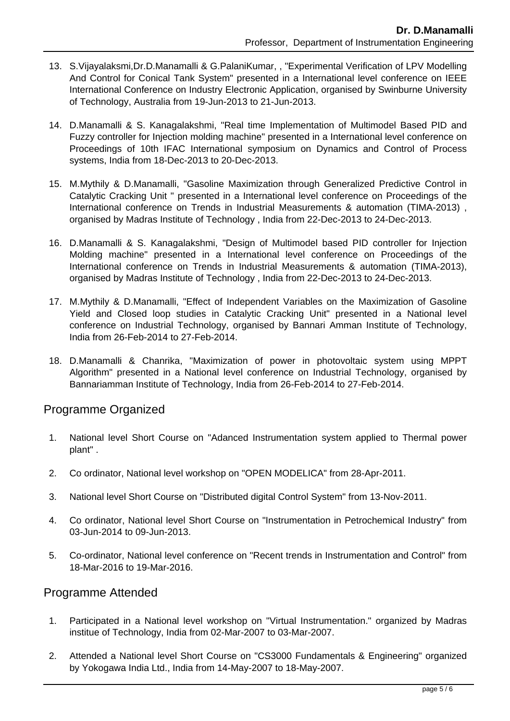- 13. S.Vijayalaksmi,Dr.D.Manamalli & G.PalaniKumar, , "Experimental Verification of LPV Modelling And Control for Conical Tank System" presented in a International level conference on IEEE International Conference on Industry Electronic Application, organised by Swinburne University of Technology, Australia from 19-Jun-2013 to 21-Jun-2013.
- 14. D.Manamalli & S. Kanagalakshmi, "Real time Implementation of Multimodel Based PID and Fuzzy controller for Injection molding machine" presented in a International level conference on Proceedings of 10th IFAC International symposium on Dynamics and Control of Process systems, India from 18-Dec-2013 to 20-Dec-2013.
- 15. M.Mythily & D.Manamalli, "Gasoline Maximization through Generalized Predictive Control in Catalytic Cracking Unit " presented in a International level conference on Proceedings of the International conference on Trends in Industrial Measurements & automation (TIMA-2013) , organised by Madras Institute of Technology , India from 22-Dec-2013 to 24-Dec-2013.
- 16. D.Manamalli & S. Kanagalakshmi, "Design of Multimodel based PID controller for Injection Molding machine" presented in a International level conference on Proceedings of the International conference on Trends in Industrial Measurements & automation (TIMA-2013), organised by Madras Institute of Technology , India from 22-Dec-2013 to 24-Dec-2013.
- 17. M.Mythily & D.Manamalli, "Effect of Independent Variables on the Maximization of Gasoline Yield and Closed loop studies in Catalytic Cracking Unit" presented in a National level conference on Industrial Technology, organised by Bannari Amman Institute of Technology, India from 26-Feb-2014 to 27-Feb-2014.
- 18. D.Manamalli & Chanrika, "Maximization of power in photovoltaic system using MPPT Algorithm" presented in a National level conference on Industrial Technology, organised by Bannariamman Institute of Technology, India from 26-Feb-2014 to 27-Feb-2014.

## Programme Organized

- 1. National level Short Course on "Adanced Instrumentation system applied to Thermal power plant" .
- 2. Co ordinator, National level workshop on "OPEN MODELICA" from 28-Apr-2011.
- 3. National level Short Course on "Distributed digital Control System" from 13-Nov-2011.
- 4. Co ordinator, National level Short Course on "Instrumentation in Petrochemical Industry" from 03-Jun-2014 to 09-Jun-2013.
- 5. Co-ordinator, National level conference on "Recent trends in Instrumentation and Control" from 18-Mar-2016 to 19-Mar-2016.

### Programme Attended

- 1. Participated in a National level workshop on "Virtual Instrumentation." organized by Madras institue of Technology, India from 02-Mar-2007 to 03-Mar-2007.
- 2. Attended a National level Short Course on "CS3000 Fundamentals & Engineering" organized by Yokogawa India Ltd., India from 14-May-2007 to 18-May-2007.